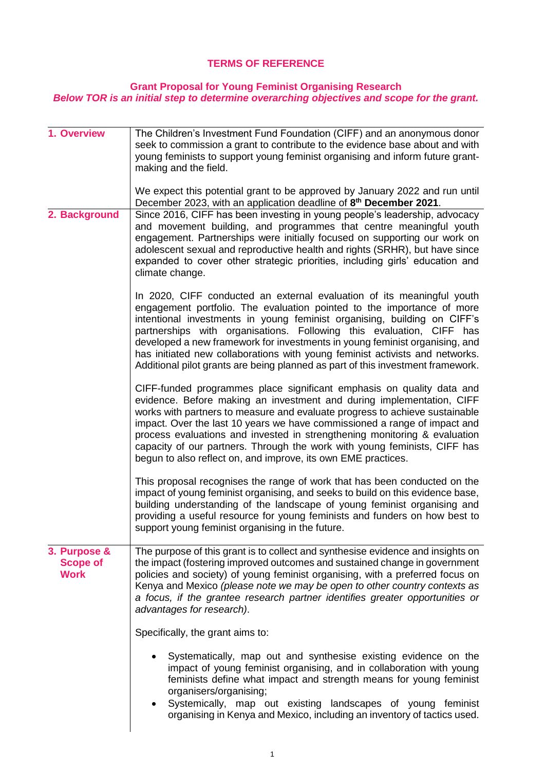## **TERMS OF REFERENCE**

## **Grant Proposal for Young Feminist Organising Research** *Below TOR is an initial step to determine overarching objectives and scope for the grant.*

| 1. Overview                                    | The Children's Investment Fund Foundation (CIFF) and an anonymous donor<br>seek to commission a grant to contribute to the evidence base about and with<br>young feminists to support young feminist organising and inform future grant-<br>making and the field.                                                                                                                                                                                                                                                                                      |
|------------------------------------------------|--------------------------------------------------------------------------------------------------------------------------------------------------------------------------------------------------------------------------------------------------------------------------------------------------------------------------------------------------------------------------------------------------------------------------------------------------------------------------------------------------------------------------------------------------------|
|                                                | We expect this potential grant to be approved by January 2022 and run until<br>December 2023, with an application deadline of 8 <sup>th</sup> December 2021.                                                                                                                                                                                                                                                                                                                                                                                           |
| 2. Background                                  | Since 2016, CIFF has been investing in young people's leadership, advocacy<br>and movement building, and programmes that centre meaningful youth<br>engagement. Partnerships were initially focused on supporting our work on<br>adolescent sexual and reproductive health and rights (SRHR), but have since<br>expanded to cover other strategic priorities, including girls' education and<br>climate change.                                                                                                                                        |
|                                                | In 2020, CIFF conducted an external evaluation of its meaningful youth<br>engagement portfolio. The evaluation pointed to the importance of more<br>intentional investments in young feminist organising, building on CIFF's<br>partnerships with organisations. Following this evaluation, CIFF has<br>developed a new framework for investments in young feminist organising, and<br>has initiated new collaborations with young feminist activists and networks.<br>Additional pilot grants are being planned as part of this investment framework. |
|                                                | CIFF-funded programmes place significant emphasis on quality data and<br>evidence. Before making an investment and during implementation, CIFF<br>works with partners to measure and evaluate progress to achieve sustainable<br>impact. Over the last 10 years we have commissioned a range of impact and<br>process evaluations and invested in strengthening monitoring & evaluation<br>capacity of our partners. Through the work with young feminists, CIFF has<br>begun to also reflect on, and improve, its own EME practices.                  |
|                                                | This proposal recognises the range of work that has been conducted on the<br>impact of young feminist organising, and seeks to build on this evidence base,<br>building understanding of the landscape of young feminist organising and<br>providing a useful resource for young feminists and funders on how best to<br>support young feminist organising in the future.                                                                                                                                                                              |
| 3. Purpose &<br><b>Scope of</b><br><b>Work</b> | The purpose of this grant is to collect and synthesise evidence and insights on<br>the impact (fostering improved outcomes and sustained change in government<br>policies and society) of young feminist organising, with a preferred focus on<br>Kenya and Mexico (please note we may be open to other country contexts as<br>a focus, if the grantee research partner identifies greater opportunities or<br>advantages for research).                                                                                                               |
|                                                | Specifically, the grant aims to:                                                                                                                                                                                                                                                                                                                                                                                                                                                                                                                       |
|                                                | Systematically, map out and synthesise existing evidence on the<br>impact of young feminist organising, and in collaboration with young<br>feminists define what impact and strength means for young feminist<br>organisers/organising;<br>Systemically, map out existing landscapes of young feminist<br>organising in Kenya and Mexico, including an inventory of tactics used.                                                                                                                                                                      |
|                                                |                                                                                                                                                                                                                                                                                                                                                                                                                                                                                                                                                        |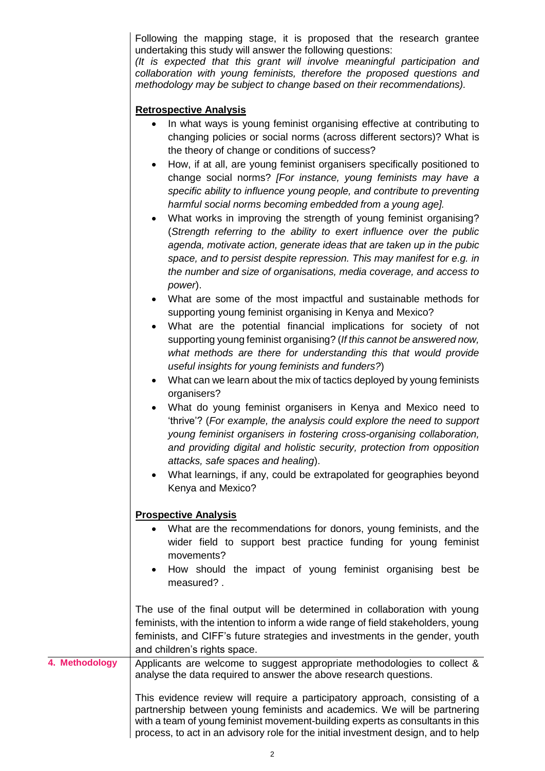Following the mapping stage, it is proposed that the research grantee undertaking this study will answer the following questions:

*(It is expected that this grant will involve meaningful participation and collaboration with young feminists, therefore the proposed questions and methodology may be subject to change based on their recommendations).*

## **Retrospective Analysis**

- In what ways is young feminist organising effective at contributing to changing policies or social norms (across different sectors)? What is the theory of change or conditions of success?
- How, if at all, are young feminist organisers specifically positioned to change social norms? *[For instance, young feminists may have a specific ability to influence young people, and contribute to preventing harmful social norms becoming embedded from a young age].*
- What works in improving the strength of young feminist organising? (*Strength referring to the ability to exert influence over the public agenda, motivate action, generate ideas that are taken up in the pubic space, and to persist despite repression. This may manifest for e.g. in the number and size of organisations, media coverage, and access to power*).
- What are some of the most impactful and sustainable methods for supporting young feminist organising in Kenya and Mexico?
- What are the potential financial implications for society of not supporting young feminist organising? (*If this cannot be answered now, what methods are there for understanding this that would provide useful insights for young feminists and funders?*)
- What can we learn about the mix of tactics deployed by young feminists organisers?
- What do young feminist organisers in Kenya and Mexico need to 'thrive'? (*For example, the analysis could explore the need to support young feminist organisers in fostering cross-organising collaboration, and providing digital and holistic security, protection from opposition attacks, safe spaces and healing*).
- What learnings, if any, could be extrapolated for geographies beyond Kenya and Mexico?

## **Prospective Analysis**

- What are the recommendations for donors, young feminists, and the wider field to support best practice funding for young feminist movements?
- How should the impact of young feminist organising best be measured? .

The use of the final output will be determined in collaboration with young feminists, with the intention to inform a wide range of field stakeholders, young feminists, and CIFF's future strategies and investments in the gender, youth and children's rights space.

**4. Methodology** | Applicants are welcome to suggest appropriate methodologies to collect & analyse the data required to answer the above research questions.

> This evidence review will require a participatory approach, consisting of a partnership between young feminists and academics. We will be partnering with a team of young feminist movement-building experts as consultants in this process, to act in an advisory role for the initial investment design, and to help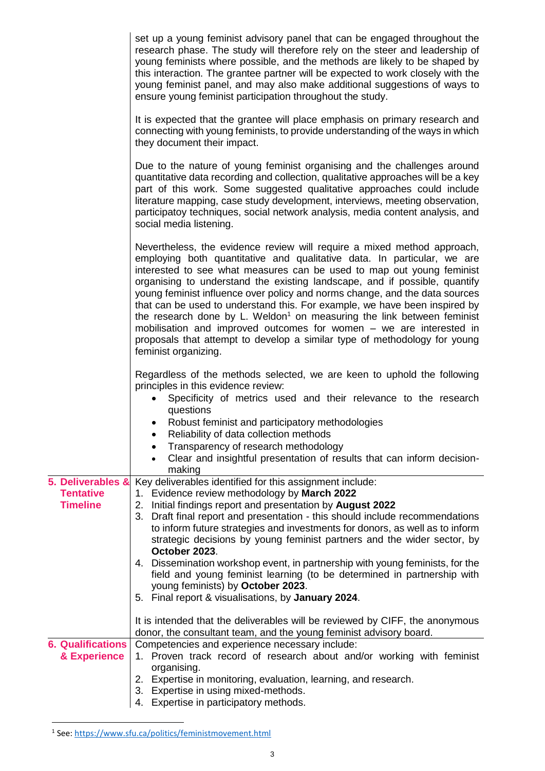|                                                          | set up a young feminist advisory panel that can be engaged throughout the<br>research phase. The study will therefore rely on the steer and leadership of<br>young feminists where possible, and the methods are likely to be shaped by<br>this interaction. The grantee partner will be expected to work closely with the<br>young feminist panel, and may also make additional suggestions of ways to<br>ensure young feminist participation throughout the study.                                                                                                                                                                                                                                                                     |
|----------------------------------------------------------|------------------------------------------------------------------------------------------------------------------------------------------------------------------------------------------------------------------------------------------------------------------------------------------------------------------------------------------------------------------------------------------------------------------------------------------------------------------------------------------------------------------------------------------------------------------------------------------------------------------------------------------------------------------------------------------------------------------------------------------|
|                                                          | It is expected that the grantee will place emphasis on primary research and<br>connecting with young feminists, to provide understanding of the ways in which<br>they document their impact.                                                                                                                                                                                                                                                                                                                                                                                                                                                                                                                                             |
|                                                          | Due to the nature of young feminist organising and the challenges around<br>quantitative data recording and collection, qualitative approaches will be a key<br>part of this work. Some suggested qualitative approaches could include<br>literature mapping, case study development, interviews, meeting observation,<br>participatoy techniques, social network analysis, media content analysis, and<br>social media listening.                                                                                                                                                                                                                                                                                                       |
|                                                          | Nevertheless, the evidence review will require a mixed method approach,<br>employing both quantitative and qualitative data. In particular, we are<br>interested to see what measures can be used to map out young feminist<br>organising to understand the existing landscape, and if possible, quantify<br>young feminist influence over policy and norms change, and the data sources<br>that can be used to understand this. For example, we have been inspired by<br>the research done by L. Weldon <sup>1</sup> on measuring the link between feminist<br>mobilisation and improved outcomes for women - we are interested in<br>proposals that attempt to develop a similar type of methodology for young<br>feminist organizing. |
|                                                          | Regardless of the methods selected, we are keen to uphold the following<br>principles in this evidence review:<br>Specificity of metrics used and their relevance to the research<br>$\bullet$<br>questions<br>Robust feminist and participatory methodologies<br>Reliability of data collection methods<br>Transparency of research methodology<br>Clear and insightful presentation of results that can inform decision-<br>$\bullet$<br>making                                                                                                                                                                                                                                                                                        |
| 5. Deliverables &<br><b>Tentative</b><br><b>Timeline</b> | Key deliverables identified for this assignment include:<br>1. Evidence review methodology by March 2022<br>Initial findings report and presentation by August 2022<br>2.<br>3. Draft final report and presentation - this should include recommendations<br>to inform future strategies and investments for donors, as well as to inform<br>strategic decisions by young feminist partners and the wider sector, by<br>October 2023.<br>4. Dissemination workshop event, in partnership with young feminists, for the<br>field and young feminist learning (to be determined in partnership with<br>young feminists) by October 2023.<br>5. Final report & visualisations, by January 2024.                                             |
|                                                          | It is intended that the deliverables will be reviewed by CIFF, the anonymous<br>donor, the consultant team, and the young feminist advisory board.                                                                                                                                                                                                                                                                                                                                                                                                                                                                                                                                                                                       |
| <b>6. Qualifications</b><br>& Experience                 | Competencies and experience necessary include:<br>Proven track record of research about and/or working with feminist<br>$1_{-}$<br>organising.<br>2. Expertise in monitoring, evaluation, learning, and research.<br>3. Expertise in using mixed-methods.<br>Expertise in participatory methods.<br>4.                                                                                                                                                                                                                                                                                                                                                                                                                                   |

 1 See[: https://www.sfu.ca/politics/feministmovement.html](https://www.sfu.ca/politics/feministmovement.html)